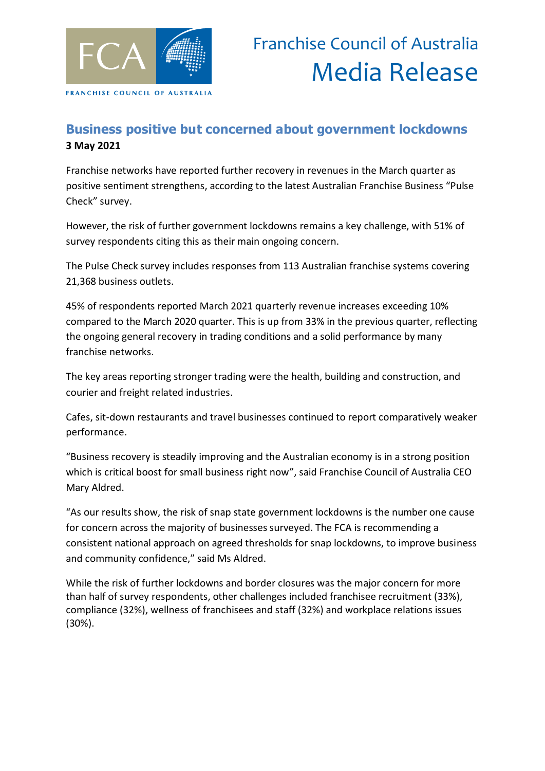

## **Business positive but concerned about government lockdowns 3 May 2021**

Franchise networks have reported further recovery in revenues in the March quarter as positive sentiment strengthens, according to the latest Australian Franchise Business "Pulse Check" survey.

However, the risk of further government lockdowns remains a key challenge, with 51% of survey respondents citing this as their main ongoing concern.

The Pulse Check survey includes responses from 113 Australian franchise systems covering 21,368 business outlets.

45% of respondents reported March 2021 quarterly revenue increases exceeding 10% compared to the March 2020 quarter. This is up from 33% in the previous quarter, reflecting the ongoing general recovery in trading conditions and a solid performance by many franchise networks.

The key areas reporting stronger trading were the health, building and construction, and courier and freight related industries.

Cafes, sit-down restaurants and travel businesses continued to report comparatively weaker performance.

"Business recovery is steadily improving and the Australian economy is in a strong position which is critical boost for small business right now", said Franchise Council of Australia CEO Mary Aldred.

"As our results show, the risk of snap state government lockdowns is the number one cause for concern across the majority of businesses surveyed. The FCA is recommending a consistent national approach on agreed thresholds for snap lockdowns, to improve business and community confidence," said Ms Aldred.

While the risk of further lockdowns and border closures was the major concern for more than half of survey respondents, other challenges included franchisee recruitment (33%), compliance (32%), wellness of franchisees and staff (32%) and workplace relations issues (30%).